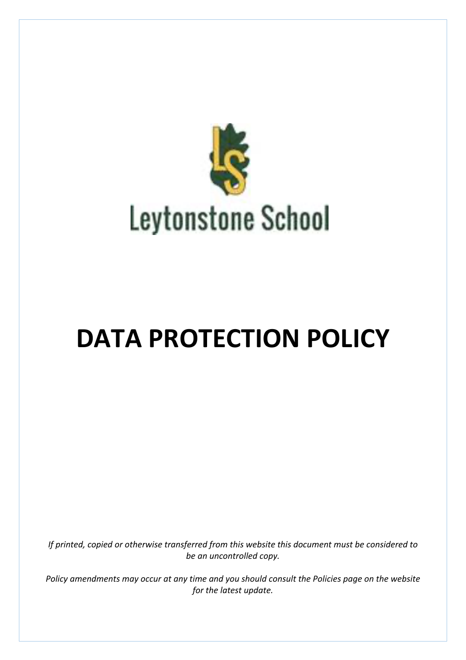

# **DATA PROTECTION POLICY**

*If printed, copied or otherwise transferred from this website this document must be considered to* be an uncontrolled copy.

*Policy* amendments may occur at any time and you should consult the Policies page on the website *for the latest update.*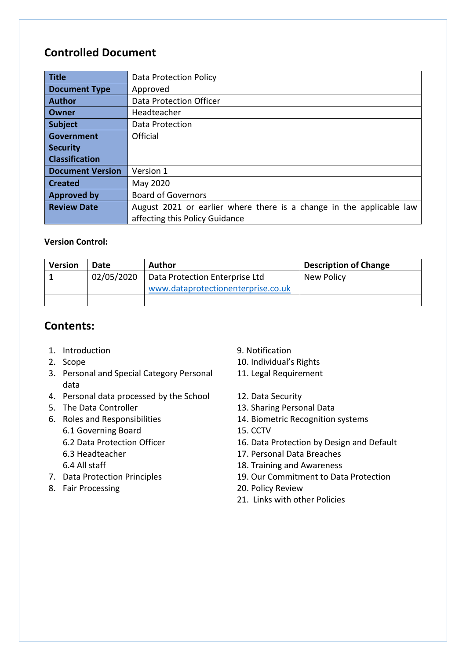# **Controlled Document**

| <b>Title</b>            | <b>Data Protection Policy</b>                                        |  |  |
|-------------------------|----------------------------------------------------------------------|--|--|
| <b>Document Type</b>    | Approved                                                             |  |  |
| <b>Author</b>           | <b>Data Protection Officer</b>                                       |  |  |
| Owner                   | Headteacher                                                          |  |  |
| <b>Subject</b>          | Data Protection                                                      |  |  |
| <b>Government</b>       | Official                                                             |  |  |
| <b>Security</b>         |                                                                      |  |  |
| <b>Classification</b>   |                                                                      |  |  |
| <b>Document Version</b> | Version 1                                                            |  |  |
| <b>Created</b>          | May 2020                                                             |  |  |
| <b>Approved by</b>      | <b>Board of Governors</b>                                            |  |  |
| <b>Review Date</b>      | August 2021 or earlier where there is a change in the applicable law |  |  |
|                         | affecting this Policy Guidance                                       |  |  |

# **Version Control:**

| <b>Version</b> | Date       | Author                             | <b>Description of Change</b> |
|----------------|------------|------------------------------------|------------------------------|
|                | 02/05/2020 | Data Protection Enterprise Ltd     | New Policy                   |
|                |            | www.dataprotectionenterprise.co.uk |                              |
|                |            |                                    |                              |

# **Contents:**

- 1. Introduction 3. Notification 3. Notification
- 
- 3. Personal and Special Category Personal data
- 4. Personal data processed by the School 12. Data Security
- 
- 6. Roles and Responsibilities
	- 6.1 Governing Board
	- 6.2 Data Protection Officer
	- 6.3 Headteacher
	- 6.4 All staff
- 
- 8. Fair Processing **20.** Policy Review
- 
- 2. Scope 2. Scope 2. Scope 2. Scope 2. Scope 2. Scope 2. Scope 2. Scope 2. Scope 2. Scope 2. Scope 2. Scope 2. Scope 2. Scope 2. Scope 2. Scope 2. Scope 2. Scope 2. Scope 2. Scope 2. Scope 2. Scope 2. Scope 2. Scope 2. Sco
	- 11. Legal Requirement
	-
- 5. The Data Controller 13. Sharing Personal Data
	- 14. Biometric Recognition systems
	- 15. CCTV
	- 16. Data Protection by Design and Default
	- 17. Personal Data Breaches
	- 18. Training and Awareness
- 7. Data Protection Principles 19. Our Commitment to Data Protection
	-
	- 21. Links with other Policies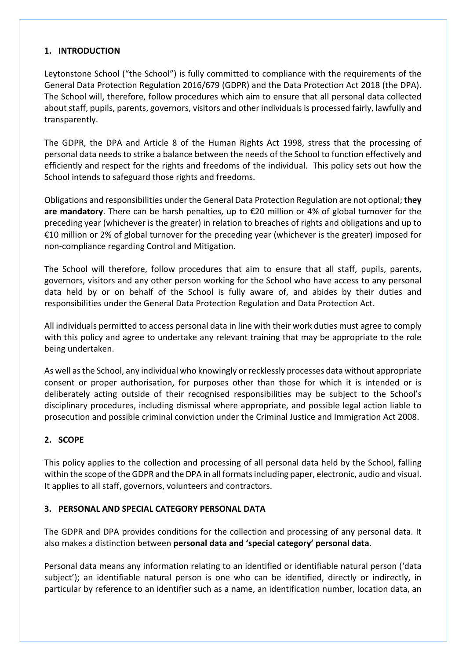# **1. INTRODUCTION**

Leytonstone School ("the School") is fully committed to compliance with the requirements of the General Data Protection Regulation 2016/679 (GDPR) and the Data Protection Act 2018 (the DPA). The School will, therefore, follow procedures which aim to ensure that all personal data collected about staff, pupils, parents, governors, visitors and other individuals is processed fairly, lawfully and transparently.

The GDPR, the DPA and Article 8 of the Human Rights Act 1998, stress that the processing of personal data needs to strike a balance between the needs of the School to function effectively and efficiently and respect for the rights and freedoms of the individual. This policy sets out how the School intends to safeguard those rights and freedoms.

Obligations and responsibilities under the General Data Protection Regulation are not optional; they **are mandatory**. There can be harsh penalties, up to €20 million or 4% of global turnover for the preceding year (whichever is the greater) in relation to breaches of rights and obligations and up to €10 million or 2% of global turnover for the preceding year (whichever is the greater) imposed for non-compliance regarding Control and Mitigation.

The School will therefore, follow procedures that aim to ensure that all staff, pupils, parents, governors, visitors and any other person working for the School who have access to any personal data held by or on behalf of the School is fully aware of, and abides by their duties and responsibilities under the General Data Protection Regulation and Data Protection Act.

All individuals permitted to access personal data in line with their work duties must agree to comply with this policy and agree to undertake any relevant training that may be appropriate to the role being undertaken.

As well as the School, any individual who knowingly or recklessly processes data without appropriate consent or proper authorisation, for purposes other than those for which it is intended or is deliberately acting outside of their recognised responsibilities may be subject to the School's disciplinary procedures, including dismissal where appropriate, and possible legal action liable to prosecution and possible criminal conviction under the Criminal Justice and Immigration Act 2008.

# **2. SCOPE**

This policy applies to the collection and processing of all personal data held by the School, falling within the scope of the GDPR and the DPA in all formats including paper, electronic, audio and visual. It applies to all staff, governors, volunteers and contractors.

#### **3. PERSONAL AND SPECIAL CATEGORY PERSONAL DATA**

The GDPR and DPA provides conditions for the collection and processing of any personal data. It also makes a distinction between personal data and 'special category' personal data.

Personal data means any information relating to an identified or identifiable natural person ('data subject'); an identifiable natural person is one who can be identified, directly or indirectly, in particular by reference to an identifier such as a name, an identification number, location data, an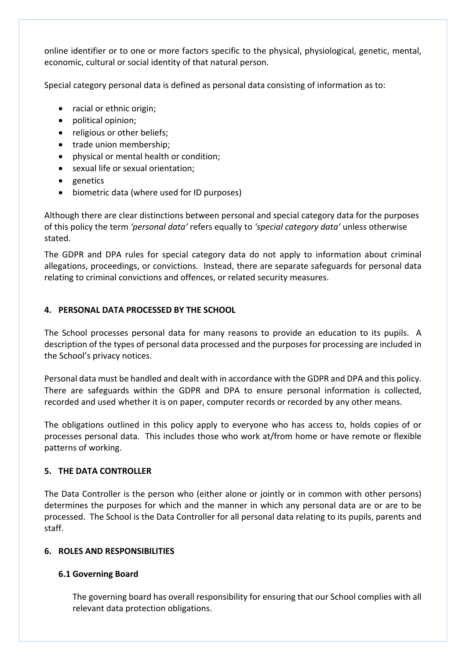online identifier or to one or more factors specific to the physical, physiological, genetic, mental, economic, cultural or social identity of that natural person.

Special category personal data is defined as personal data consisting of information as to:

- racial or ethnic origin;
- political opinion:
- religious or other beliefs;
- trade union membership:
- physical or mental health or condition;
- sexual life or sexual orientation;
- genetics
- biometric data (where used for ID purposes)

Although there are clear distinctions between personal and special category data for the purposes of this policy the term 'personal data' refers equally to 'special category data' unless otherwise stated.

The GDPR and DPA rules for special category data do not apply to information about criminal allegations, proceedings, or convictions. Instead, there are separate safeguards for personal data relating to criminal convictions and offences, or related security measures.

# **4. PERSONAL DATA PROCESSED BY THE SCHOOL**

The School processes personal data for many reasons to provide an education to its pupils. A description of the types of personal data processed and the purposes for processing are included in the School's privacy notices.

Personal data must be handled and dealt with in accordance with the GDPR and DPA and this policy. There are safeguards within the GDPR and DPA to ensure personal information is collected, recorded and used whether it is on paper, computer records or recorded by any other means.

The obligations outlined in this policy apply to everyone who has access to, holds copies of or processes personal data. This includes those who work at/from home or have remote or flexible patterns of working.

# **5. THE DATA CONTROLLER**

The Data Controller is the person who (either alone or jointly or in common with other persons) determines the purposes for which and the manner in which any personal data are or are to be processed. The School is the Data Controller for all personal data relating to its pupils, parents and staff.

# **6. ROLES AND RESPONSIBILITIES**

# **6.1 Governing Board**

The governing board has overall responsibility for ensuring that our School complies with all relevant data protection obligations.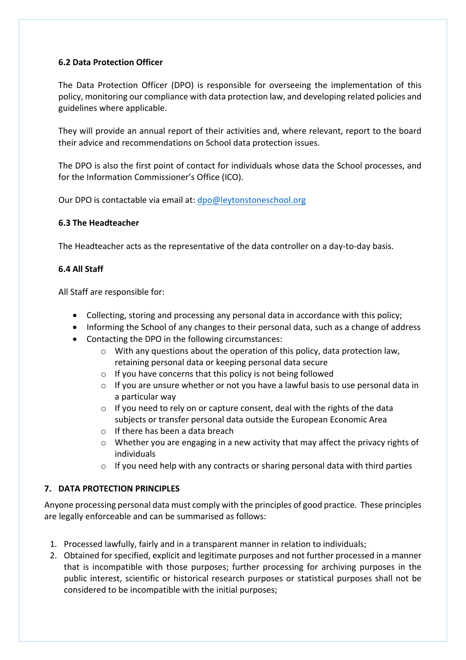#### **6.2 Data Protection Officer**

The Data Protection Officer (DPO) is responsible for overseeing the implementation of this policy, monitoring our compliance with data protection law, and developing related policies and guidelines where applicable.

They will provide an annual report of their activities and, where relevant, report to the board their advice and recommendations on School data protection issues.

The DPO is also the first point of contact for individuals whose data the School processes, and for the Information Commissioner's Office (ICO).

Our DPO is contactable via email at:  $dpo@$  leytonstoneschool.org

#### **6.3 The Headteacher**

The Headteacher acts as the representative of the data controller on a day-to-day basis.

#### **6.4 All Staff**

All Staff are responsible for:

- Collecting, storing and processing any personal data in accordance with this policy;
- Informing the School of any changes to their personal data, such as a change of address
- Contacting the DPO in the following circumstances:
	- $\circ$  With any questions about the operation of this policy, data protection law, retaining personal data or keeping personal data secure
	- $\circ$  If you have concerns that this policy is not being followed
	- $\circ$  If you are unsure whether or not you have a lawful basis to use personal data in a particular way
	- $\circ$  If you need to rely on or capture consent, deal with the rights of the data subjects or transfer personal data outside the European Economic Area
	- $\circ$  If there has been a data breach
	- $\circ$  Whether you are engaging in a new activity that may affect the privacy rights of individuals
	- $\circ$  If you need help with any contracts or sharing personal data with third parties

# **7. DATA PROTECTION PRINCIPLES**

Anyone processing personal data must comply with the principles of good practice. These principles are legally enforceable and can be summarised as follows:

- 1. Processed lawfully, fairly and in a transparent manner in relation to individuals;
- 2. Obtained for specified, explicit and legitimate purposes and not further processed in a manner that is incompatible with those purposes; further processing for archiving purposes in the public interest, scientific or historical research purposes or statistical purposes shall not be considered to be incompatible with the initial purposes;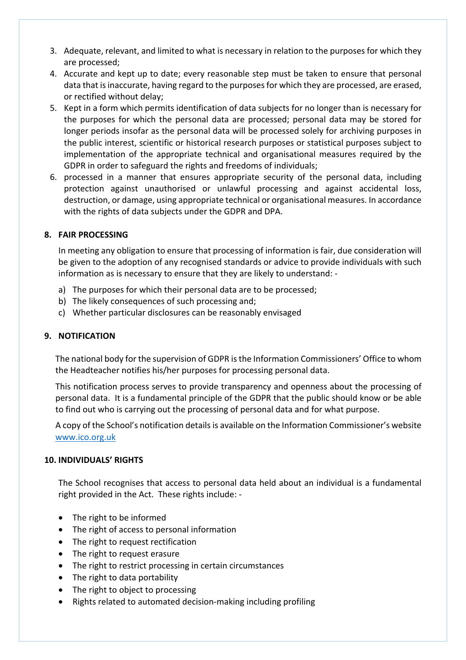- 3. Adequate, relevant, and limited to what is necessary in relation to the purposes for which they are processed;
- 4. Accurate and kept up to date; every reasonable step must be taken to ensure that personal data that is inaccurate, having regard to the purposes for which they are processed, are erased, or rectified without delay;
- 5. Kept in a form which permits identification of data subjects for no longer than is necessary for the purposes for which the personal data are processed; personal data may be stored for longer periods insofar as the personal data will be processed solely for archiving purposes in the public interest, scientific or historical research purposes or statistical purposes subject to implementation of the appropriate technical and organisational measures required by the GDPR in order to safeguard the rights and freedoms of individuals;
- 6. processed in a manner that ensures appropriate security of the personal data, including protection against unauthorised or unlawful processing and against accidental loss, destruction, or damage, using appropriate technical or organisational measures. In accordance with the rights of data subjects under the GDPR and DPA.

#### **8. FAIR PROCESSING**

In meeting any obligation to ensure that processing of information is fair, due consideration will be given to the adoption of any recognised standards or advice to provide individuals with such information as is necessary to ensure that they are likely to understand: -

- a) The purposes for which their personal data are to be processed:
- b) The likely consequences of such processing and;
- c) Whether particular disclosures can be reasonably envisaged

#### **9. NOTIFICATION**

The national body for the supervision of GDPR is the Information Commissioners' Office to whom the Headteacher notifies his/her purposes for processing personal data.

This notification process serves to provide transparency and openness about the processing of personal data. It is a fundamental principle of the GDPR that the public should know or be able to find out who is carrying out the processing of personal data and for what purpose.

A copy of the School's notification details is available on the Information Commissioner's website www.ico.org.uk

# **10. INDIVIDUALS' RIGHTS**

The School recognises that access to personal data held about an individual is a fundamental right provided in the Act. These rights include: -

- $\bullet$  The right to be informed
- The right of access to personal information
- $\bullet$  The right to request rectification
- The right to request erasure
- The right to restrict processing in certain circumstances
- $\bullet$  The right to data portability
- The right to object to processing
- Rights related to automated decision-making including profiling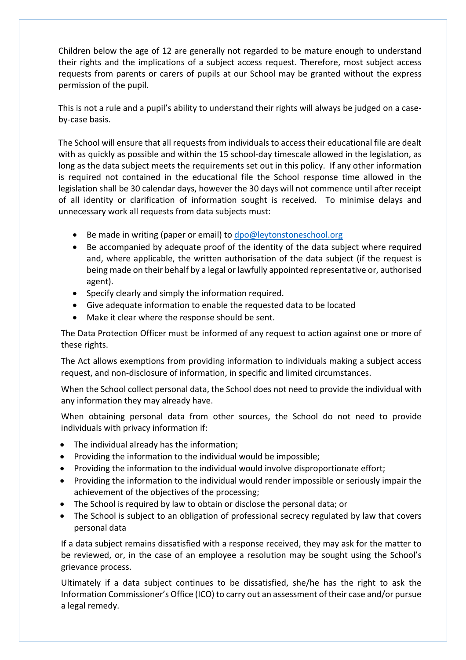Children below the age of 12 are generally not regarded to be mature enough to understand their rights and the implications of a subject access request. Therefore, most subject access requests from parents or carers of pupils at our School may be granted without the express permission of the pupil.

This is not a rule and a pupil's ability to understand their rights will always be judged on a caseby-case basis.

The School will ensure that all requests from individuals to access their educational file are dealt with as quickly as possible and within the 15 school-day timescale allowed in the legislation, as long as the data subject meets the requirements set out in this policy. If any other information is required not contained in the educational file the School response time allowed in the legislation shall be 30 calendar days, however the 30 days will not commence until after receipt of all identity or clarification of information sought is received. To minimise delays and unnecessary work all requests from data subjects must:

- Be made in writing (paper or email) to  $\frac{d}{d}$  be development of  $\frac{d}{d}$
- Be accompanied by adequate proof of the identity of the data subject where required and, where applicable, the written authorisation of the data subject (if the request is being made on their behalf by a legal or lawfully appointed representative or, authorised agent).
- Specify clearly and simply the information required.
- Give adequate information to enable the requested data to be located
- Make it clear where the response should be sent.

The Data Protection Officer must be informed of any request to action against one or more of these rights.

The Act allows exemptions from providing information to individuals making a subject access request, and non-disclosure of information, in specific and limited circumstances.

When the School collect personal data, the School does not need to provide the individual with any information they may already have.

When obtaining personal data from other sources, the School do not need to provide individuals with privacy information if:

- $\bullet$  The individual already has the information;
- Providing the information to the individual would be impossible;
- Providing the information to the individual would involve disproportionate effort;
- Providing the information to the individual would render impossible or seriously impair the achievement of the objectives of the processing;
- The School is required by law to obtain or disclose the personal data; or
- The School is subject to an obligation of professional secrecy regulated by law that covers personal data

If a data subject remains dissatisfied with a response received, they may ask for the matter to be reviewed, or, in the case of an employee a resolution may be sought using the School's grievance process.

Ultimately if a data subject continues to be dissatisfied, she/he has the right to ask the Information Commissioner's Office (ICO) to carry out an assessment of their case and/or pursue a legal remedy.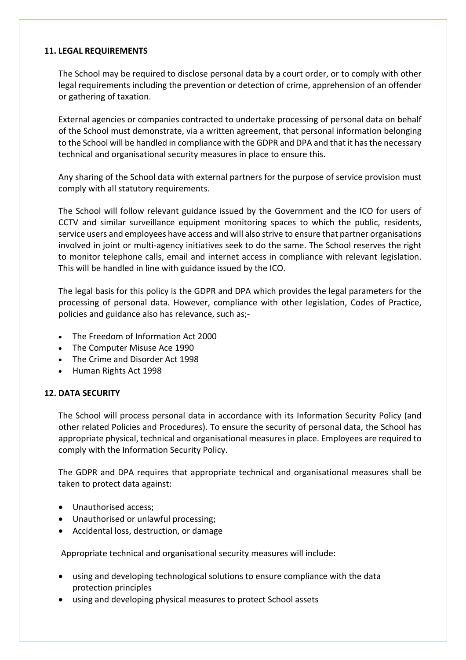#### **11. LEGAL REQUIREMENTS**

The School may be required to disclose personal data by a court order, or to comply with other legal requirements including the prevention or detection of crime, apprehension of an offender or gathering of taxation.

External agencies or companies contracted to undertake processing of personal data on behalf of the School must demonstrate, via a written agreement, that personal information belonging to the School will be handled in compliance with the GDPR and DPA and that it has the necessary technical and organisational security measures in place to ensure this.

Any sharing of the School data with external partners for the purpose of service provision must comply with all statutory requirements.

The School will follow relevant guidance issued by the Government and the ICO for users of CCTV and similar surveillance equipment monitoring spaces to which the public, residents, service users and employees have access and will also strive to ensure that partner organisations involved in joint or multi-agency initiatives seek to do the same. The School reserves the right to monitor telephone calls, email and internet access in compliance with relevant legislation. This will be handled in line with guidance issued by the ICO.

The legal basis for this policy is the GDPR and DPA which provides the legal parameters for the processing of personal data. However, compliance with other legislation, Codes of Practice, policies and guidance also has relevance, such as;-

- The Freedom of Information Act 2000
- The Computer Misuse Ace 1990
- The Crime and Disorder Act 1998
- Human Rights Act 1998

# **12. DATA SECURITY**

The School will process personal data in accordance with its Information Security Policy (and other related Policies and Procedures). To ensure the security of personal data, the School has appropriate physical, technical and organisational measures in place. Employees are required to comply with the Information Security Policy.

The GDPR and DPA requires that appropriate technical and organisational measures shall be taken to protect data against:

- Unauthorised access;
- Unauthorised or unlawful processing;
- Accidental loss, destruction, or damage

Appropriate technical and organisational security measures will include:

- using and developing technological solutions to ensure compliance with the data protection principles
- using and developing physical measures to protect School assets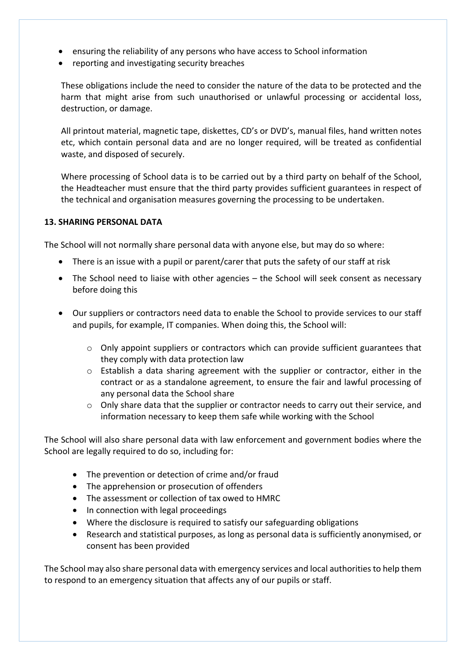- ensuring the reliability of any persons who have access to School information
- reporting and investigating security breaches

These obligations include the need to consider the nature of the data to be protected and the harm that might arise from such unauthorised or unlawful processing or accidental loss, destruction, or damage.

All printout material, magnetic tape, diskettes, CD's or DVD's, manual files, hand written notes etc, which contain personal data and are no longer required, will be treated as confidential waste, and disposed of securely.

Where processing of School data is to be carried out by a third party on behalf of the School, the Headteacher must ensure that the third party provides sufficient guarantees in respect of the technical and organisation measures governing the processing to be undertaken.

#### **13. SHARING PERSONAL DATA**

The School will not normally share personal data with anyone else, but may do so where:

- There is an issue with a pupil or parent/carer that puts the safety of our staff at risk
- The School need to liaise with other agencies the School will seek consent as necessary before doing this
- Our suppliers or contractors need data to enable the School to provide services to our staff and pupils, for example, IT companies. When doing this, the School will:
	- $\circ$  Only appoint suppliers or contractors which can provide sufficient guarantees that they comply with data protection law
	- $\circ$  Establish a data sharing agreement with the supplier or contractor, either in the contract or as a standalone agreement, to ensure the fair and lawful processing of any personal data the School share
	- $\circ$  Only share data that the supplier or contractor needs to carry out their service, and information necessary to keep them safe while working with the School

The School will also share personal data with law enforcement and government bodies where the School are legally required to do so, including for:

- The prevention or detection of crime and/or fraud
- The apprehension or prosecution of offenders
- The assessment or collection of tax owed to HMRC
- In connection with legal proceedings
- Where the disclosure is required to satisfy our safeguarding obligations
- Research and statistical purposes, as long as personal data is sufficiently anonymised, or consent has been provided

The School may also share personal data with emergency services and local authorities to help them to respond to an emergency situation that affects any of our pupils or staff.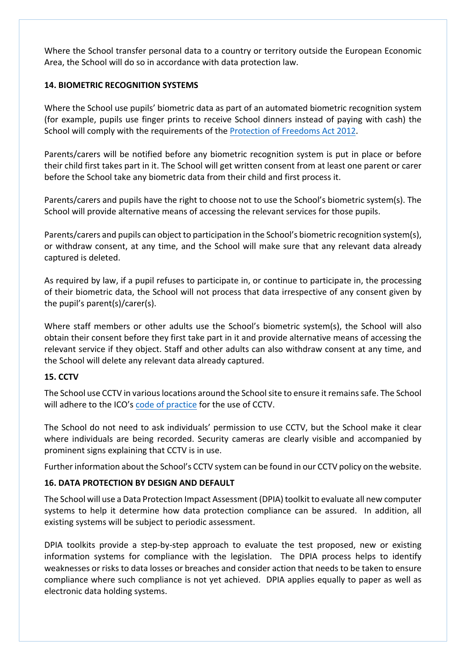Where the School transfer personal data to a country or territory outside the European Economic Area, the School will do so in accordance with data protection law.

#### **14. BIOMETRIC RECOGNITION SYSTEMS**

Where the School use pupils' biometric data as part of an automated biometric recognition system (for example, pupils use finger prints to receive School dinners instead of paying with cash) the School will comply with the requirements of the Protection of Freedoms Act 2012.

Parents/carers will be notified before any biometric recognition system is put in place or before their child first takes part in it. The School will get written consent from at least one parent or carer before the School take any biometric data from their child and first process it.

Parents/carers and pupils have the right to choose not to use the School's biometric system(s). The School will provide alternative means of accessing the relevant services for those pupils.

Parents/carers and pupils can object to participation in the School's biometric recognition system(s), or withdraw consent, at any time, and the School will make sure that any relevant data already captured is deleted.

As required by law, if a pupil refuses to participate in, or continue to participate in, the processing of their biometric data, the School will not process that data irrespective of any consent given by the pupil's parent(s)/carer(s).

Where staff members or other adults use the School's biometric system(s), the School will also obtain their consent before they first take part in it and provide alternative means of accessing the relevant service if they object. Staff and other adults can also withdraw consent at any time, and the School will delete any relevant data already captured.

# **15. CCTV**

The School use CCTV in various locations around the School site to ensure it remains safe. The School will adhere to the ICO's code of practice for the use of CCTV.

The School do not need to ask individuals' permission to use CCTV, but the School make it clear where individuals are being recorded. Security cameras are clearly visible and accompanied by prominent signs explaining that CCTV is in use.

Further information about the School's CCTV system can be found in our CCTV policy on the website.

# **16. DATA PROTECTION BY DESIGN AND DEFAULT**

The School will use a Data Protection Impact Assessment (DPIA) toolkit to evaluate all new computer systems to help it determine how data protection compliance can be assured. In addition, all existing systems will be subject to periodic assessment.

DPIA toolkits provide a step-by-step approach to evaluate the test proposed, new or existing information systems for compliance with the legislation. The DPIA process helps to identify weaknesses or risks to data losses or breaches and consider action that needs to be taken to ensure compliance where such compliance is not yet achieved. DPIA applies equally to paper as well as electronic data holding systems.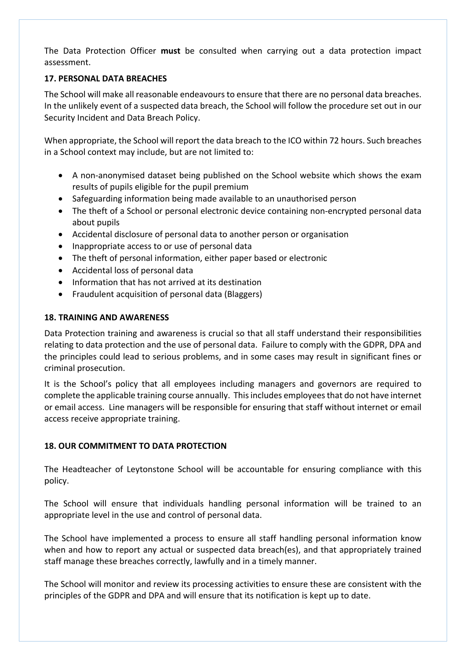The Data Protection Officer **must** be consulted when carrying out a data protection impact assessment.

#### **17. PERSONAL DATA BREACHES**

The School will make all reasonable endeavours to ensure that there are no personal data breaches. In the unlikely event of a suspected data breach, the School will follow the procedure set out in our Security Incident and Data Breach Policy.

When appropriate, the School will report the data breach to the ICO within 72 hours. Such breaches in a School context may include, but are not limited to:

- A non-anonymised dataset being published on the School website which shows the exam results of pupils eligible for the pupil premium
- Safeguarding information being made available to an unauthorised person
- The theft of a School or personal electronic device containing non-encrypted personal data about pupils
- Accidental disclosure of personal data to another person or organisation
- Inappropriate access to or use of personal data
- The theft of personal information, either paper based or electronic
- Accidental loss of personal data
- Information that has not arrived at its destination
- Fraudulent acquisition of personal data (Blaggers)

#### **18. TRAINING AND AWARENESS**

Data Protection training and awareness is crucial so that all staff understand their responsibilities relating to data protection and the use of personal data. Failure to comply with the GDPR, DPA and the principles could lead to serious problems, and in some cases may result in significant fines or criminal prosecution.

It is the School's policy that all employees including managers and governors are required to complete the applicable training course annually. This includes employees that do not have internet or email access. Line managers will be responsible for ensuring that staff without internet or email access receive appropriate training.

# **18. OUR COMMITMENT TO DATA PROTECTION**

The Headteacher of Leytonstone School will be accountable for ensuring compliance with this policy.

The School will ensure that individuals handling personal information will be trained to an appropriate level in the use and control of personal data.

The School have implemented a process to ensure all staff handling personal information know when and how to report any actual or suspected data breach(es), and that appropriately trained staff manage these breaches correctly, lawfully and in a timely manner.

The School will monitor and review its processing activities to ensure these are consistent with the principles of the GDPR and DPA and will ensure that its notification is kept up to date.